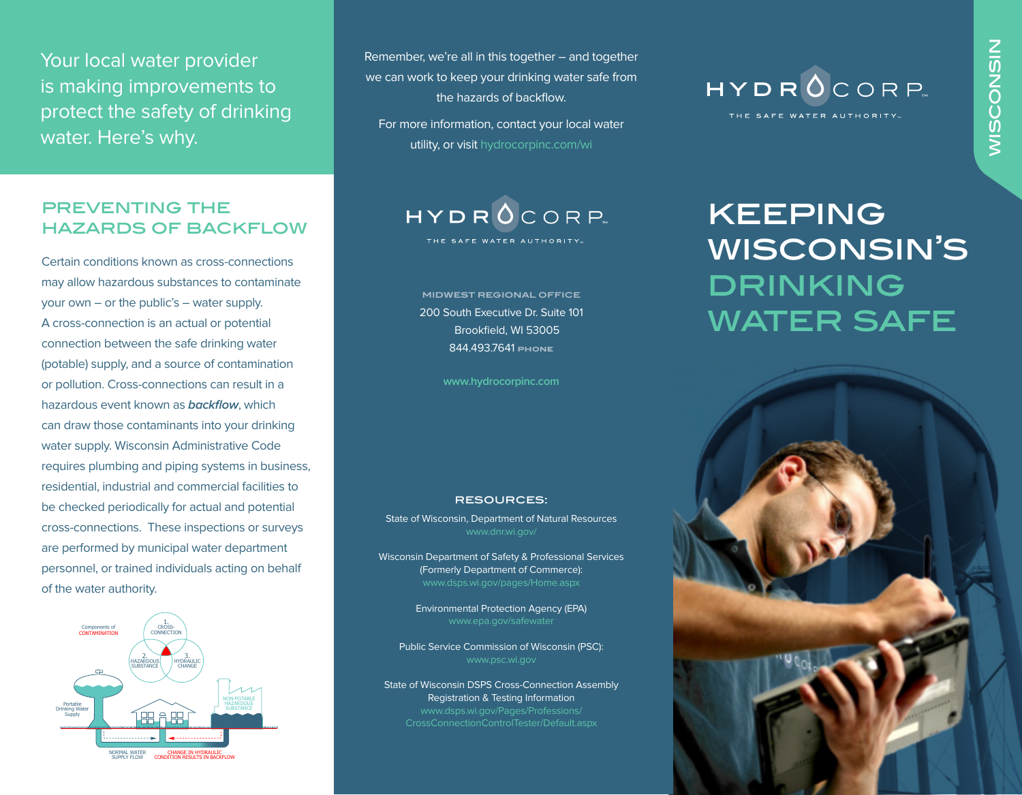Your local water provider is making improvements to protect the safety of drinking water. Here's why.

#### PREVENTING THE hazards of backflow

Certain conditions known as cross-connections may allow hazardous substances to contaminate your own – or the public's – water supply. A cross-connection is an actual or potential connection between the safe drinking water (potable) supply, and a source of contamination or pollution. Cross-connections can result in a hazardous event known as **backflow**, which can draw those contaminants into your drinking water supply. Wisconsin Administrative Code requires plumbing and piping systems in business, residential, industrial and commercial facilities to be checked periodically for actual and potential cross-connections. These inspections or surveys are performed by municipal water department personnel, or trained individuals acting on behalf of the water authority.



Remember, we're all in this together – and together we can work to keep your drinking water safe from the hazards of backflow.

For more information, contact your local water utility, or visit hydrocorpinc.com/wi



200 South Executive Dr. Suite 101 Brookfield, WI 53005 844.493.7641 **phone**

**www.hydrocorpinc.com**

#### resources:

State of Wisconsin, Department of Natural Resources www.dnr.wi.gov/

Wisconsin Department of Safety & Professional Services (Formerly Department of Commerce): www.dsps.wi.gov/pages/Home.aspx

> Environmental Protection Agency (EPA) www.epa.gov/safewater

Public Service Commission of Wisconsin (PSC): www.psc.wi.gov

State of Wisconsin DSPS Cross-Connection Assembly Registration & Testing Information www.dsps.wi.gov/Pages/Professions/ CrossConnectionControlTester/Default.aspx



# keeping wisconsin's **DRINKING** WATER SAFE